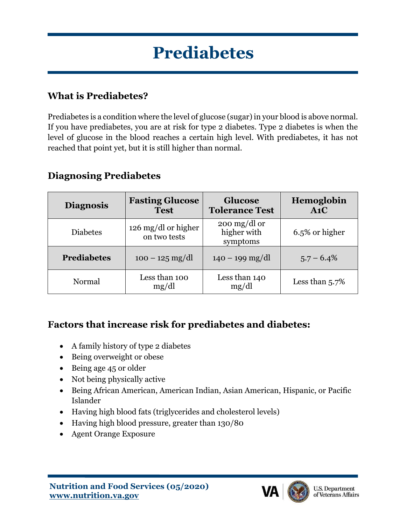# **Prediabetes**

## **What is Prediabetes?**

Prediabetes is a condition where the level of glucose (sugar) in your blood is above normal. If you have prediabetes, you are at risk for type 2 diabetes. Type 2 diabetes is when the level of glucose in the blood reaches a certain high level. With prediabetes, it has not reached that point yet, but it is still higher than normal.

| <b>Diagnosis</b>   | <b>Fasting Glucose</b><br><b>Test</b>               | <b>Glucose</b><br><b>Tolerance Test</b>                         | Hemoglobin<br>A1C |
|--------------------|-----------------------------------------------------|-----------------------------------------------------------------|-------------------|
| <b>Diabetes</b>    | $126 \text{ mg}/\text{d}$ or higher<br>on two tests | $200 \frac{\text{mg}}{\text{dl}}$ or<br>higher with<br>symptoms | 6.5% or higher    |
| <b>Prediabetes</b> | $100 - 125$ mg/dl                                   | $140 - 199$ mg/dl                                               | $5.7 - 6.4\%$     |
| Normal             | Less than 100<br>mg/dl                              | Less than 140<br>mg/dl                                          | Less than $5.7\%$ |

## **Diagnosing Prediabetes**

## **Factors that increase risk for prediabetes and diabetes:**

- A family history of type 2 diabetes
- Being overweight or obese
- Being age 45 or older
- Not being physically active
- Being African American, American Indian, Asian American, Hispanic, or Pacific Islander
- Having high blood fats (triglycerides and cholesterol levels)
- Having high blood pressure, greater than 130/80
- Agent Orange Exposure